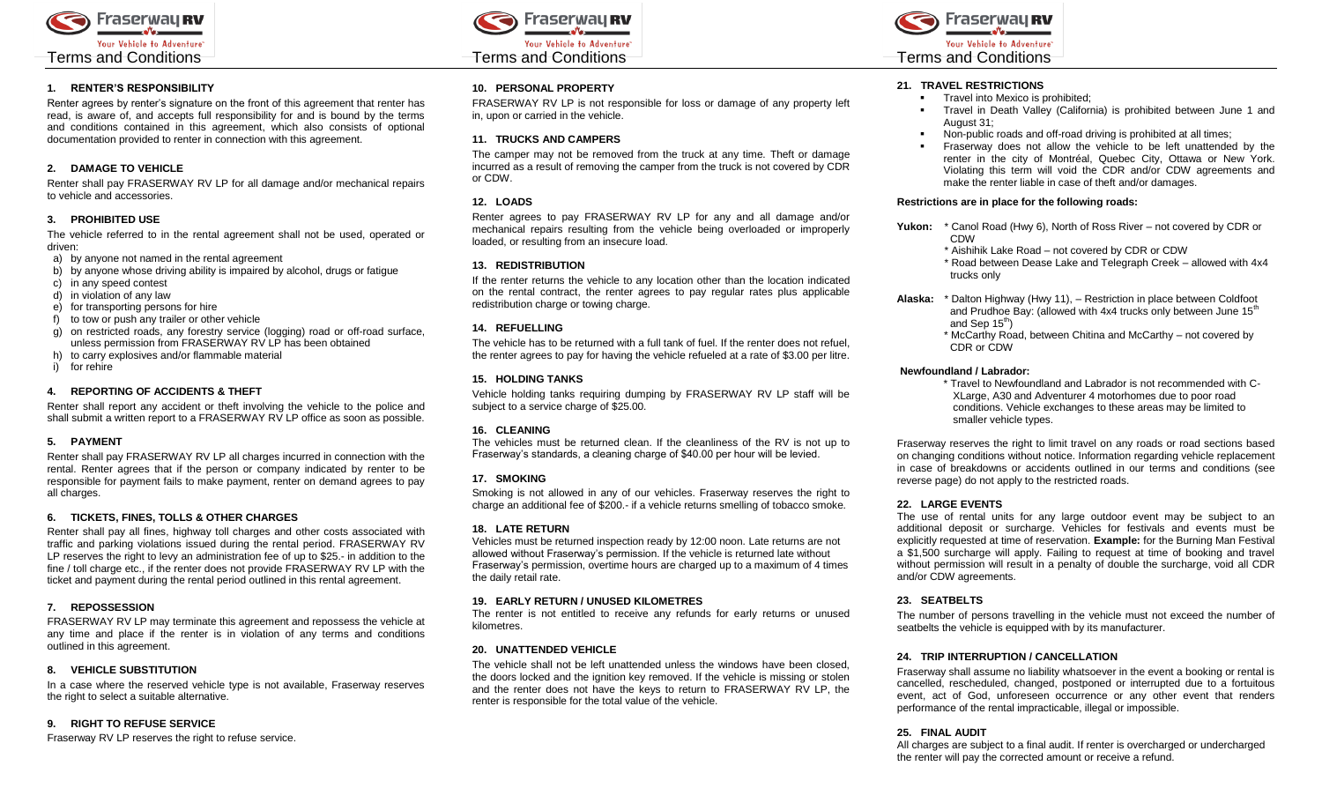

### **1. RENTER'S RESPONSIBILITY**

Renter agrees by renter's signature on the front of this agreement that renter has read, is aware of, and accepts full responsibility for and is bound by the terms and conditions contained in this agreement, which also consists of optional documentation provided to renter in connection with this agreement.

# **2. DAMAGE TO VEHICLE**

Renter shall pay FRASERWAY RV LP for all damage and/or mechanical repairs to vehicle and accessories.

# **3. PROHIBITED USE**

The vehicle referred to in the rental agreement shall not be used, operated or driven:

- a) by anyone not named in the rental agreement
- b) by anyone whose driving ability is impaired by alcohol, drugs or fatigue
- c) in any speed contest
- d) in violation of any law
- e) for transporting persons for hire
- f) to tow or push any trailer or other vehicle
- g) on restricted roads, any forestry service (logging) road or off-road surface, unless permission from FRASERWAY RV LP has been obtained
- h) to carry explosives and/or flammable material
- i) for rehire

## **4. REPORTING OF ACCIDENTS & THEFT**

Renter shall report any accident or theft involving the vehicle to the police and shall submit a written report to a FRASERWAY RV LP office as soon as possible.

### **5. PAYMENT**

Renter shall pay FRASERWAY RV LP all charges incurred in connection with the rental. Renter agrees that if the person or company indicated by renter to be responsible for payment fails to make payment, renter on demand agrees to pay all charges.

# **6. TICKETS, FINES, TOLLS & OTHER CHARGES**

Renter shall pay all fines, highway toll charges and other costs associated with traffic and parking violations issued during the rental period. FRASERWAY RV LP reserves the right to levy an administration fee of up to \$25.- in addition to the fine / toll charge etc., if the renter does not provide FRASERWAY RV LP with the ticket and payment during the rental period outlined in this rental agreement.

### **7. REPOSSESSION**

FRASERWAY RV LP may terminate this agreement and repossess the vehicle at any time and place if the renter is in violation of any terms and conditions outlined in this agreement.

# **8. VEHICLE SUBSTITUTION**

In a case where the reserved vehicle type is not available, Fraserway reserves the right to select a suitable alternative.

### **9. RIGHT TO REFUSE SERVICE**

Fraserway RV LP reserves the right to refuse service.



## **10. PERSONAL PROPERTY**

FRASERWAY RV LP is not responsible for loss or damage of any property left in, upon or carried in the vehicle.

### **11. TRUCKS AND CAMPERS**

The camper may not be removed from the truck at any time. Theft or damage incurred as a result of removing the camper from the truck is not covered by CDR or CDW.

## **12. LOADS**

Renter agrees to pay FRASERWAY RV LP for any and all damage and/or mechanical repairs resulting from the vehicle being overloaded or improperly loaded, or resulting from an insecure load.

## **13. REDISTRIBUTION**

If the renter returns the vehicle to any location other than the location indicated on the rental contract, the renter agrees to pay regular rates plus applicable redistribution charge or towing charge.

## **14. REFUELLING**

The vehicle has to be returned with a full tank of fuel. If the renter does not refuel, the renter agrees to pay for having the vehicle refueled at a rate of \$3.00 per litre.

# **15. HOLDING TANKS**

Vehicle holding tanks requiring dumping by FRASERWAY RV LP staff will be subject to a service charge of \$25.00.

# **16. CLEANING**

The vehicles must be returned clean. If the cleanliness of the RV is not up to Fraserway's standards, a cleaning charge of \$40.00 per hour will be levied.

# **17. SMOKING**

Smoking is not allowed in any of our vehicles. Fraserway reserves the right to charge an additional fee of \$200.- if a vehicle returns smelling of tobacco smoke.

### **18. LATE RETURN**

Vehicles must be returned inspection ready by 12:00 noon. Late returns are not allowed without Fraserway's permission. If the vehicle is returned late without Fraserway's permission, overtime hours are charged up to a maximum of 4 times the daily retail rate.

### **19. EARLY RETURN / UNUSED KILOMETRES**

The renter is not entitled to receive any refunds for early returns or unused kilometres.

# **20. UNATTENDED VEHICLE**

The vehicle shall not be left unattended unless the windows have been closed, the doors locked and the ignition key removed. If the vehicle is missing or stolen and the renter does not have the keys to return to FRASERWAY RV LP, the renter is responsible for the total value of the vehicle.



# **21. TRAVEL RESTRICTIONS**

- **Travel into Mexico is prohibited;**
- Travel in Death Valley (California) is prohibited between June 1 and August 31;
- Non-public roads and off-road driving is prohibited at all times;
- Fraserway does not allow the vehicle to be left unattended by the renter in the city of Montréal, Quebec City, Ottawa or New York. Violating this term will void the CDR and/or CDW agreements and make the renter liable in case of theft and/or damages.

### **Restrictions are in place for the following roads:**

- **Yukon:** \* Canol Road (Hwy 6), North of Ross River not covered by CDR or CDW
	- \* Aishihik Lake Road not covered by CDR or CDW
	- \* Road between Dease Lake and Telegraph Creek allowed with 4x4 trucks only
- **Alaska:** \* Dalton Highway (Hwy 11), Restriction in place between Coldfoot and Prudhoe Bay: (allowed with 4x4 trucks only between June 15<sup>th</sup> and Sep 15<sup>th</sup>)
	- \* McCarthy Road, between Chitina and McCarthy not covered by CDR or CDW

# **Newfoundland / Labrador:**

\* Travel to Newfoundland and Labrador is not recommended with C-XLarge, A30 and Adventurer 4 motorhomes due to poor road conditions. Vehicle exchanges to these areas may be limited to smaller vehicle types.

Fraserway reserves the right to limit travel on any roads or road sections based on changing conditions without notice. Information regarding vehicle replacement in case of breakdowns or accidents outlined in our terms and conditions (see reverse page) do not apply to the restricted roads.

### **22. LARGE EVENTS**

The use of rental units for any large outdoor event may be subject to an additional deposit or surcharge. Vehicles for festivals and events must be explicitly requested at time of reservation. **Example:** for the Burning Man Festival a \$1,500 surcharge will apply. Failing to request at time of booking and travel without permission will result in a penalty of double the surcharge, void all CDR and/or CDW agreements.

# **23. SEATBELTS**

The number of persons travelling in the vehicle must not exceed the number of seatbelts the vehicle is equipped with by its manufacturer.

## **24. TRIP INTERRUPTION / CANCELLATION**

Fraserway shall assume no liability whatsoever in the event a booking or rental is cancelled, rescheduled, changed, postponed or interrupted due to a fortuitous event, act of God, unforeseen occurrence or any other event that renders performance of the rental impracticable, illegal or impossible.

### **25. FINAL AUDIT**

All charges are subject to a final audit. If renter is overcharged or undercharged the renter will pay the corrected amount or receive a refund.